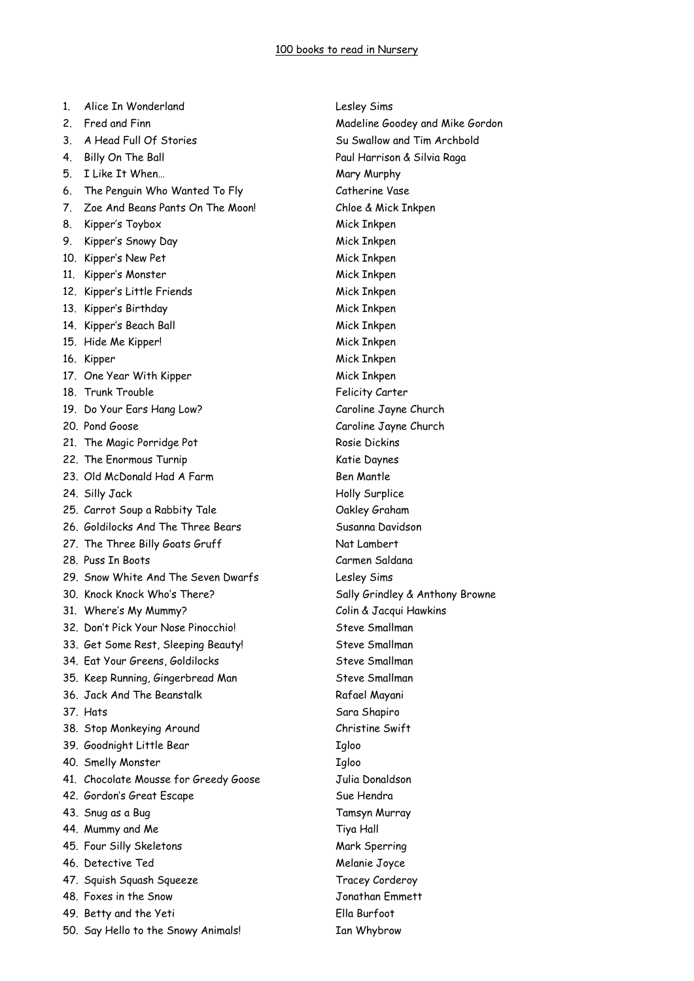1. Alice In Wonderland Lesley Sims 2. Fred and Finn **Communist Communist Communist Communist Communist Communist Communist Communist Communist Communist Communist Communist Communist Communist Communist Communist Communist Communist Communist Communist Comm** 3. A Head Full Of Stories Summan Su Swallow and Tim Archbold 4. Billy On The Ball Paul Harrison & Silvia Raga 5. I Like It When... **Mary Murphy** Mary Murphy 6. The Penguin Who Wanted To Fly Catherine Vase 7. Zoe And Beans Pants On The Moon! Chloe & Mick Inkpen 8. Kipper's Toybox Mick Inkpen 9. Kipper's Snowy Day Mick Inkpen 10. Kipper's New Pet Mick Inkpen 11. Kipper's Monster Mick Inkpen 12. Kipper's Little Friends Mick Inkpen 13. Kipper's Birthday Mick Inkpen 14. Kipper's Beach Ball Mick Inkpen 15. Hide Me Kipper! Mick Inkpen 16. Kipper Mick Inkpen 17. One Year With Kipper Mick Inkpen 18. Trunk Trouble **Felicity Carter** 19. Do Your Ears Hang Low? Caroline Jayne Church 20. Pond Goose Caroline Jayne Church 21. The Magic Porridge Pot Rosie Dickins 22. The Enormous Turnip Katie Daynes 23. Old McDonald Had A Farm Ben Mantle 24. Silly Jack Holly Surplice 25. Carrot Soup a Rabbity Tale Cakley Graham 26. Goldilocks And The Three Bears Susanna Davidson 27. The Three Billy Goats Gruff Nat Lambert 28. Puss In Boots Carmen Saldana 29. Snow White And The Seven Dwarfs Lesley Sims 30. Knock Knock Who's There? Sally Grindley & Anthony Browne 31. Where's My Mummy? Colin & Jacqui Hawkins 32. Don't Pick Your Nose Pinocchio! Steve Smallman 33. Get Some Rest, Sleeping Beauty! Steve Smallman 34. Eat Your Greens, Goldilocks Steve Smallman 35. Keep Running, Gingerbread Man Steve Smallman 36. Jack And The Beanstalk Rafael Mayani 37. Hats Sara Shapiro 38. Stop Monkeying Around Christine Swift 39. Goodnight Little Bear Igloo 40. Smelly Monster Taloo 41. Chocolate Mousse for Greedy Goose Julia Donaldson 42. Gordon's Great Escape Sue Hendra 43. Snug as a Bug Tamsyn Murray 44. Mummy and Me Tiya Hall 45. Four Silly Skeletons Mark Sperring 46. Detective Ted Melanie Joyce 47. Squish Squash Squeeze Tracey Corderoy 48. Foxes in the Snow Jonathan Emmett 49. Betty and the Yeti Ella Burfoot 50. Say Hello to the Snowy Animals! Ian Whybrow